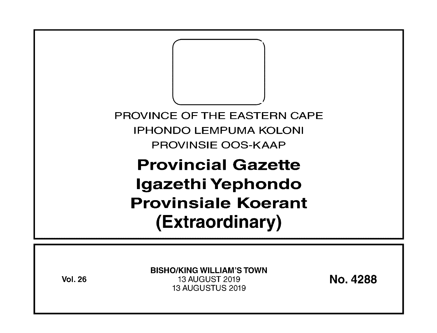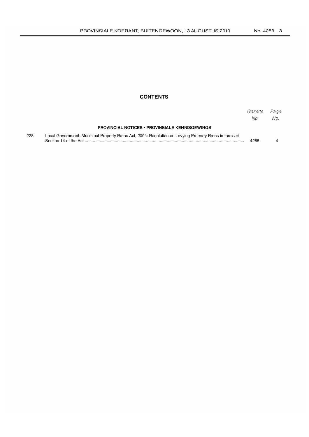### **CONTENTS**

|     |                                                                                                        | Gazette<br>No. | Page<br>No. |
|-----|--------------------------------------------------------------------------------------------------------|----------------|-------------|
|     | <b>PROVINCIAL NOTICES • PROVINSIALE KENNISGEWINGS</b>                                                  |                |             |
| 228 | Local Government: Municipal Property Rates Act, 2004: Resolution on Levying Property Rates in terms of | 4288           |             |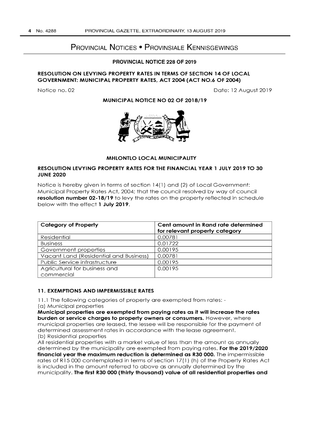# **PROVINCIAL NOTICES • PROVINSIALE KENNISGEWINGS**

#### **PROVINCIAL NOTICE 228 OF 2019**

#### **RESOLUTION ON LEVYING PROPERTY RATES IN TERMS OF SECTION 14 OF LOCAL GOVERNMENT: MUNICIPAL PROPERTY RATES, ACT 2004 (ACT NO.6 OF 2004)**

Notice no. 02 Date: 12 August 2019

**MUNICIPAL NOTICE NO 02 OF 2018/19** 



#### **MHLONTLO LOCAL MUNICIPALITY**

#### **RESOLUTION LEVYING PROPERTY RATES FOR THE FINANCIAL YEAR 1 JULY 2019 TO 30 JUNE 2020**

Notice is hereby given in terms of section 14(1) and (2) of Local Government: Municipal Property Rates Act, 2004; that the council resolved by way of council **resolution number 02-18/19** to levy the rates on the property reflected in schedule below with the effect **1 July 2019.** 

| <b>Category of Property</b>            | Cent amount in Rand rate determined<br>for relevant property category |
|----------------------------------------|-----------------------------------------------------------------------|
| Residential                            | 0.00781                                                               |
| <b>Business</b>                        | 0.01722                                                               |
| Government properties                  | 0.00195                                                               |
| Vacant Land (Residential and Business) | 0.00781                                                               |
| Public Service infrastructure          | 0.00195                                                               |
| Agricultural for business and          | 0.00195                                                               |
| commercial                             |                                                                       |

#### **11. EXEMPTIONS AND IMPERMISSIBLE RATES**

1 1.1 The following categories of property are exempted from rates: -

(a) Municipal properties

**Municipal properties are exempted from paying rates as it will increase the rates burden or service charges to property owners or consumers.** However, where municipal properties are leased, the lessee will be responsible for the payment of determined assessment rates in accordance with the lease agreement. (b) Residential properties

All residential properties with a market value of less than the amount as annually determined by the municipality are exempted from paying rates. **For the 2019/2020 financial year the maximum reduction is determined as R30 000.** The impermissible rates of R15 000 contemplated in terms of section 17(1) (h) of the Property Rates Act is included in the amount referred to above as annually determined by the municipality. **The first R30 000 (thirty thousand) value of all residential properties and**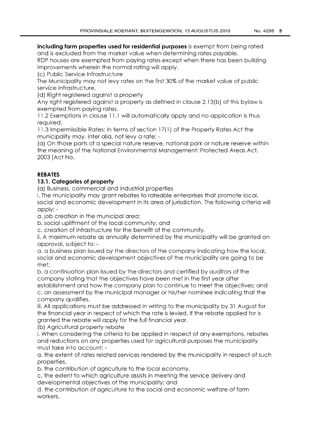## **including farm properties used for residential purposes** is exempt from being rated and is excluded from the market value when determining rates payable.

RDP houses are exempted from paying rates except when there has been building improvements wherein the normal rating will apply.

(c) Public Service Infrastructure

The Municipality may not levy rates on the first 30% of the market value of public service infrastructure.

(d) Right registered against a property

Any right registered against a property as defined in clause 2.13(b) of this bylaw is exempted from paying rates.

11.2 Exemptions in clause 11.1 will automatically apply and no application is thus required.

11.3 Impermissible Rates: In terms of section 17( 1) of the Property Rates Act the municipality may, inter alia, not levy a rate: -

(a) On those parts of a special nature reserve, national park or nature reserve within the meaning of the National Environmental Management: Protected Areas Act, 2003 (Act No.

# **REBATES**

# **13.1 . Categories of property**

(a) Business, commercial and industrial properties

i. The municipality may grant rebates to rateable enterprises that promote local, social and economic development in its area of jurisdiction. The following criteria will apply: -

a. job creation in the municipal area;

b. social upliftment of the local community; and

c. creation of infrastructure for the benefit of the community.

ii. A maximum rebate as annually determined by the municipality will be granted on approval, subject to: -

a. a business plan issued by the directors of the company indicating how the local, social and economic development objectives of the municipality are going to be met;

b. a continuation plan issued by the directors and certified by auditors of the company stating that the objectives have been met in the first year after establishment and how the company plan to continue to meet the objectives; and c. an assessment by the municipal manager or his/her nominee indicating that the company qualifies.

iii. All applications must be addressed in writing to the municipality by 31 August for the financial year in respect of which the rate is levied. If the rebate applied for is granted the rebate will apply for the full financial year.

(b) Agricultural property rebate

i. When considering the criteria to be applied in respect of any exemptions, rebates and reductions on any properties used for agricultural purposes the municipality must take into account: -

a. the extent of rates related services rendered by the municipality in respect of such properties.

b. the contribution of agriculture to the local economy.

c. the extent to which agriculture assists in meeting the service delivery and developmental objectives of the municipality; and

d. the contribution of agriculture to the social and economic welfare of farm workers.